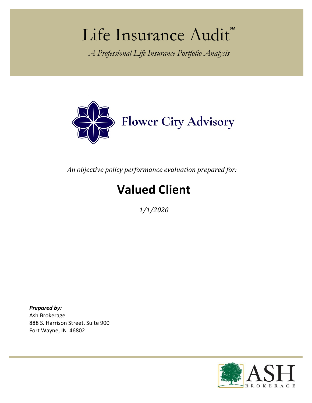# Life Insurance Audit

*A Professional Life Insurance Portfolio Analysis*



*An objective policy performance evaluation prepared for:* 

## **Valued Client**

*1/1/2020*

*Prepared by:*  Ash Brokerage 888 S. Harrison Street, Suite 900 Fort Wayne, IN 46802

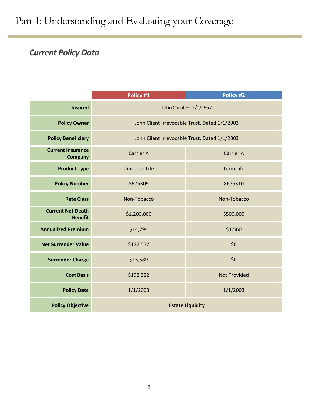## Part I: Understanding and Evaluating your Coverage

## *Current Policy Data*

|                                            | Policy #1                                     | Policy #2                                     |
|--------------------------------------------|-----------------------------------------------|-----------------------------------------------|
| <b>Insured</b>                             | John Client - 12/1/1957                       |                                               |
| <b>Policy Owner</b>                        |                                               | John Client Irrevocable Trust, Dated 1/1/2003 |
| <b>Policy Beneficiary</b>                  | John Client Irrevocable Trust, Dated 1/1/2003 |                                               |
| <b>Current Insurance</b><br><b>Company</b> | <b>Carrier A</b>                              | <b>Carrier A</b>                              |
| <b>Product Type</b>                        | <b>Universal Life</b>                         | <b>Term Life</b>                              |
| <b>Policy Number</b>                       | 8675309                                       | 8675310                                       |
| <b>Rate Class</b>                          | Non-Tobacco                                   | Non-Tobacco                                   |
| <b>Current Net Death</b><br><b>Benefit</b> | \$1,200,000                                   | \$500,000                                     |
| <b>Annualized Premium</b>                  | \$14,794                                      | \$1,560                                       |
| <b>Net Surrender Value</b>                 | \$177,537                                     | \$0                                           |
| <b>Surrender Charge</b>                    | \$15,589                                      | \$0                                           |
| <b>Cost Basis</b>                          | \$192,322                                     | <b>Not Provided</b>                           |
| <b>Policy Date</b>                         | 1/1/2003                                      | 1/1/2003                                      |
| <b>Policy Objective</b>                    | <b>Estate Liquidity</b>                       |                                               |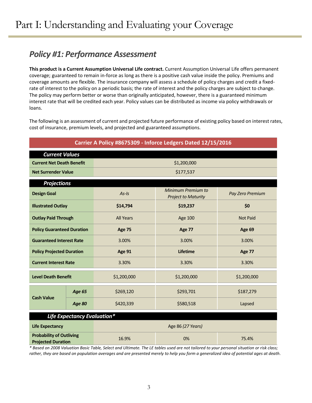## *Policy #1: Performance Assessment*

**This product is a Current Assumption Universal Life contract.** Current Assumption Universal Life offers permanent coverage; guaranteed to remain in-force as long as there is a positive cash value inside the policy. Premiums and coverage amounts are flexible. The insurance company will assess a schedule of policy charges and credit a fixedrate of interest to the policy on a periodic basis; the rate of interest and the policy charges are subject to change. The policy may perform better or worse than originally anticipated, however, there is a guaranteed minimum interest rate that will be credited each year. Policy values can be distributed as income via policy withdrawals or loans.

The following is an assessment of current and projected future performance of existing policy based on interest rates, cost of insurance, premium levels, and projected and guaranteed assumptions.

| Carrier A Policy #8675309 - Inforce Ledgers Dated 12/15/2016 |               |                   |                                                  |                  |  |
|--------------------------------------------------------------|---------------|-------------------|--------------------------------------------------|------------------|--|
| <b>Current Values</b>                                        |               |                   |                                                  |                  |  |
| <b>Current Net Death Benefit</b>                             |               | \$1,200,000       |                                                  |                  |  |
| <b>Net Surrender Value</b>                                   |               |                   | \$177,537                                        |                  |  |
| <b>Projections</b>                                           |               |                   |                                                  |                  |  |
| <b>Design Goal</b>                                           |               | $As-1s$           | Minimum Premium to<br><b>Project to Maturity</b> | Pay Zero Premium |  |
| <b>Illustrated Outlay</b>                                    |               | \$14,794          | \$19,237                                         | \$0              |  |
| <b>Outlay Paid Through</b>                                   |               | <b>All Years</b>  | <b>Age 100</b>                                   | <b>Not Paid</b>  |  |
| <b>Policy Guaranteed Duration</b>                            |               | <b>Age 75</b>     | <b>Age 77</b>                                    | Age 69           |  |
| <b>Guaranteed Interest Rate</b>                              |               | 3.00%             | 3.00%                                            | 3.00%            |  |
| <b>Policy Projected Duration</b>                             |               | Age 91            | <b>Lifetime</b>                                  | <b>Age 77</b>    |  |
| <b>Current Interest Rate</b>                                 |               | 3.30%             | 3.30%                                            | 3.30%            |  |
| <b>Level Death Benefit</b>                                   |               | \$1,200,000       | \$1,200,000                                      | \$1,200,000      |  |
| <b>Cash Value</b>                                            | <b>Age 65</b> | \$269,120         | \$293,701                                        | \$187,279        |  |
|                                                              | <b>Age 80</b> | \$420,339         | \$580,518                                        | Lapsed           |  |
| Life Expectancy Evaluation*                                  |               |                   |                                                  |                  |  |
| <b>Life Expectancy</b>                                       |               | Age 86 (27 Years) |                                                  |                  |  |
| <b>Probability of Outliving</b><br><b>Projected Duration</b> |               | 16.9%             | 0%                                               | 75.4%            |  |

*\* Based on 2008 Valuation Basic Table, Select and Ultimate. The LE tables used are not tailored to your personal situation or risk class; rather, they are based on population averages and are presented merely to help you form a generalized idea of potential ages at death.*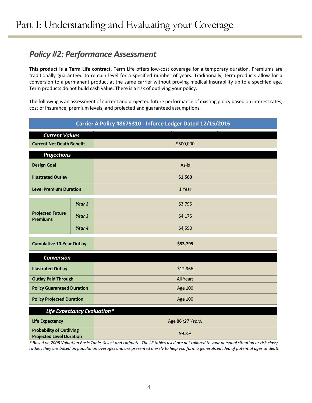## *Policy #2: Performance Assessment*

**This product is a Term Life contract.** Term Life offers low-cost coverage for a temporary duration. Premiums are traditionally guaranteed to remain level for a specified number of years. Traditionally, term products allow for a conversion to a permanent product at the same carrier without proving medical insurability up to a specified age. Term products do not build cash value. There is a risk of outliving your policy.

The following is an assessment of current and projected future performance of existing policy based on interest rates, cost of insurance, premium levels, and projected and guaranteed assumptions.

| Carrier A Policy #8675310 - Inforce Ledger Dated 12/15/2016        |                   |                  |  |
|--------------------------------------------------------------------|-------------------|------------------|--|
| <b>Current Values</b>                                              |                   |                  |  |
| <b>Current Net Death Benefit</b>                                   |                   | \$500,000        |  |
| <b>Projections</b>                                                 |                   |                  |  |
| <b>Design Goal</b>                                                 |                   | As-Is            |  |
| <b>Illustrated Outlay</b>                                          |                   | \$1,560          |  |
| <b>Level Premium Duration</b>                                      |                   | 1 Year           |  |
| <b>Projected Future</b><br><b>Premiums</b>                         | Year 2            | \$3,795          |  |
|                                                                    | Year <sub>3</sub> | \$4,175          |  |
|                                                                    | Year 4            | \$4,590          |  |
| <b>Cumulative 10-Year Outlay</b>                                   |                   | \$53,795         |  |
| <b>Conversion</b>                                                  |                   |                  |  |
| <b>Illustrated Outlay</b>                                          |                   | \$12,966         |  |
| <b>Outlay Paid Through</b>                                         |                   | <b>All Years</b> |  |
| <b>Policy Guaranteed Duration</b>                                  |                   | <b>Age 100</b>   |  |
| <b>Policy Projected Duration</b>                                   |                   | <b>Age 100</b>   |  |
| Life Expectancy Evaluation*                                        |                   |                  |  |
| <b>Life Expectancy</b>                                             | Age 86 (27 Years) |                  |  |
| <b>Probability of Outliving</b><br><b>Projected Level Duration</b> |                   | 99.8%            |  |

*\* Based on 2008 Valuation Basic Table, Select and Ultimate. The LE tables used are not tailored to your personal situation or risk class; rather, they are based on population averages and are presented merely to help you form a generalized idea of potential ages at death.*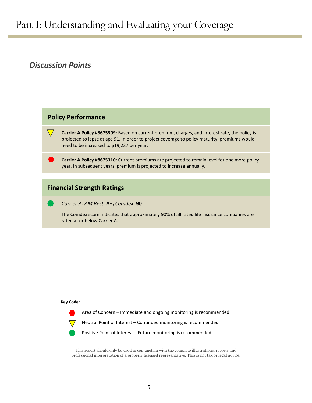### *Discussion Points*

### **Policy Performance**

**Carrier A Policy #8675309:** Based on current premium, charges, and interest rate, the policy is projected to lapse at age 91. In order to project coverage to policy maturity, premiums would need to be increased to \$19,237 per year.

**Carrier A Policy #8675310:** Current premiums are projected to remain level for one more policy year. In subsequent years, premium is projected to increase annually.

#### **Financial Strength Ratings**

*Carrier A: AM Best:* **A+,** *Comdex:* **90**

The Comdex score indicates that approximately 90% of all rated life insurance companies are rated at or below Carrier A.

#### **Key Code:**

Area of Concern – Immediate and ongoing monitoring is recommended

Neutral Point of Interest – Continued monitoring is recommended

Positive Point of Interest – Future monitoring is recommended

This report should only be used in conjunction with the complete illustrations, reports and professional interpretation of a properly licensed representative. This is not tax or legal advice.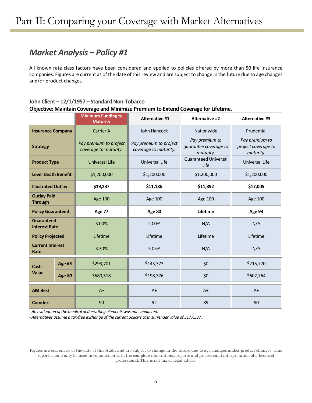## *Market Analysis – Policy #1*

All known rate class factors have been considered and applied to policies offered by more than 50 life insurance companies. Figures are current as of the date of this review and are subject to change in the future due to age changes and/or product changes.

#### **John Client -12/1/1957 - Standard Non-Tobacco Objective: Maintain Coverage and Minimize Premium to Extend Coverage for Lifetime.**

|                                           |               | <b>Minimum Funding to</b><br><b>Maturity</b>    | <b>Alternative #1</b>                           | <b>Alternative #2</b>                                | <b>Alternative #3</b>                              |
|-------------------------------------------|---------------|-------------------------------------------------|-------------------------------------------------|------------------------------------------------------|----------------------------------------------------|
| <b>Insurance Company</b>                  |               | <b>Carrier A</b>                                | John Hancock                                    | Nationwide                                           | Prudential                                         |
| <b>Strategy</b>                           |               | Pay premium to project<br>coverage to maturity. | Pay premium to project<br>coverage to maturity. | Pay premium to<br>guarantee coverage to<br>maturity. | Pay premium to<br>project coverage to<br>maturity. |
| <b>Product Type</b>                       |               | <b>Universal Life</b>                           | Universal Life                                  | <b>Guaranteed Universal</b><br>Life                  | <b>Universal Life</b>                              |
| <b>Level Death Benefit</b>                |               | \$1,200,000                                     | \$1,200,000                                     | \$1,200,000                                          | \$1,200,000                                        |
| <b>Illustrated Outlay</b>                 |               | \$19,237                                        | \$11,186                                        | \$11,892                                             | \$17,005                                           |
| <b>Outlay Paid</b><br><b>Through</b>      |               | Age 100                                         | Age 100                                         | Age 100                                              | Age 100                                            |
| <b>Policy Guaranteed</b>                  |               | <b>Age 77</b>                                   | Age 80                                          | Lifetime                                             | Age 93                                             |
| <b>Guaranteed</b><br><b>Interest Rate</b> |               | 3.00%                                           | 2.00%                                           | N/A                                                  | N/A                                                |
| <b>Policy Projected</b>                   |               | Lifetime                                        | Lifetime                                        | Lifetime                                             | Lifetime                                           |
| <b>Current Interest</b><br>Rate           |               | 3.30%                                           | 5.05%                                           | N/A                                                  | N/A                                                |
| Cash                                      | <b>Age 65</b> | \$293,701                                       | \$143,373                                       | \$0                                                  | \$215,770                                          |
| <b>Value</b>                              | <b>Age 80</b> | \$580,518                                       | \$198,376                                       | \$0                                                  | \$602,764                                          |
| <b>AM Best</b>                            |               | $A+$                                            | $A+$                                            | $A+$                                                 | $A+$                                               |
| <b>Comdex</b>                             |               | 90                                              | 92                                              | 89                                                   | 90                                                 |

*- An evaluation of the medical underwriting elements was not conducted.*

*- Alternatives assume a tax-free exchange of the current policy's cash surrender value of \$177,537.*

Figures are current as of the date of this Audit and are subject to change in the future due to age changes and/or product changes. This report should only be used in conjunction with the complete illustrations, reports and professional interpretation of a licensed professional. This is not tax or legal advice.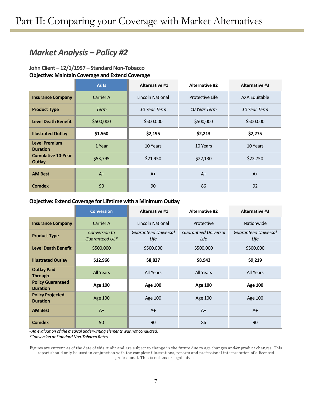## *Market Analysis – Policy #2*

#### **John Client – 12/1/1957 – Standard Non-Tobacco Objective: Maintain Coverage and Extend Coverage**

|                                         | As Is       | <b>Alternative #1</b> | <b>Alternative #2</b> | <b>Alternative #3</b> |
|-----------------------------------------|-------------|-----------------------|-----------------------|-----------------------|
| <b>Insurance Company</b>                | Carrier A   | Lincoln National      | Protective Life       | AXA Equitable         |
| <b>Product Type</b>                     | <b>Term</b> | 10 Year Term          | 10 Year Term          | 10 Year Term          |
| <b>Level Death Benefit</b>              | \$500,000   | \$500,000             | \$500,000             | \$500,000             |
| <b>Illustrated Outlay</b>               | \$1,560     | \$2,195               | \$2,213               | \$2,275               |
| <b>Level Premium</b><br><b>Duration</b> | 1 Year      | 10 Years              | 10 Years              | 10 Years              |
| <b>Cumulative 10-Year</b><br>Outlay     | \$53,795    | \$21,950              | \$22,130              | \$22,750              |
| <b>AM Best</b>                          | $A+$        | $A+$                  | $A+$                  | $A+$                  |
| Comdex                                  | 90          | 90                    | 86                    | 92                    |

#### **Objective: Extend Coverage for Lifetime with a Minimum Outlay**

|                                             | <b>Conversion</b>               | <b>Alternative #1</b>               | <b>Alternative #2</b>        | <b>Alternative #3</b>               |
|---------------------------------------------|---------------------------------|-------------------------------------|------------------------------|-------------------------------------|
| <b>Insurance Company</b>                    | Carrier A                       | Lincoln National                    | Protective                   | Nationwide                          |
| <b>Product Type</b>                         | Conversion to<br>Guaranteed UL* | <b>Guaranteed Universal</b><br>Life | Guaranteed Universal<br>Life | <b>Guaranteed Universal</b><br>Life |
| <b>Level Death Benefit</b>                  | \$500,000                       | \$500,000                           | \$500,000                    | \$500,000                           |
| <b>Illustrated Outlay</b>                   | \$12,966                        | \$8,827                             | \$8,942                      | \$9,219                             |
| <b>Outlay Paid</b><br><b>Through</b>        | <b>All Years</b>                | All Years                           | All Years                    | All Years                           |
| <b>Policy Guaranteed</b><br><b>Duration</b> | <b>Age 100</b>                  | <b>Age 100</b>                      | <b>Age 100</b>               | <b>Age 100</b>                      |
| <b>Policy Projected</b><br><b>Duration</b>  | Age 100                         | Age 100                             | Age 100                      | Age 100                             |
| <b>AM Best</b>                              | $A+$                            | $A+$                                | $A+$                         | $A+$                                |
| <b>Comdex</b>                               | 90                              | 90                                  | 86                           | 90                                  |

*- An evaluation of the medical underwriting elements was not conducted.*

*\*Conversion at Standard Non-Tobacco Rates.*

Figures are current as of the date of this Audit and are subject to change in the future due to age changes and/or product changes. This report should only be used in conjunction with the complete illustrations, reports and professional interpretation of a licensed professional. This is not tax or legal advice.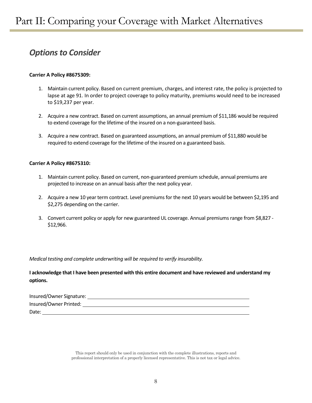## *Options to Consider*

#### **Carrier A Policy #8675309:**

- 1. Maintain current policy. Based on current premium, charges, and interest rate, the policy is projected to lapse at age 91. In order to project coverage to policy maturity, premiums would need to be increased to \$19,237 per year.
- 2. Acquire a new contract. Based on current assumptions, an annual premium of \$11,186 would be required to extend coverage for the lifetime of the insured on a non-guaranteed basis.
- 3. Acquire a new contract. Based on guaranteed assumptions, an annual premium of \$11,880 would be required to extend coverage for the lifetime of the insured on a guaranteed basis.

#### **Carrier A Policy #8675310:**

- 1. Maintain current policy. Based on current, non-guaranteed premium schedule, annual premiums are projected to increase on an annual basis after the next policy year.
- 2. Acquire a new 10 year term contract. Level premiums for the next 10 years would be between \$2,195 and \$2,275 depending on the carrier.
- 3. Convert current policy or apply for new guaranteed UL coverage. Annual premiums range from \$8,827 \$12,966.

#### *Medical testing and complete underwriting will be required to verify insurability.*

**I acknowledge that I have been presented with this entire document and have reviewed and understand my options.**

| Insured/Owner Signature: |  |
|--------------------------|--|
| Insured/Owner Printed:   |  |
| Date:                    |  |

This report should only be used in conjunction with the complete illustrations, reports and professional interpretation of a properly licensed representative. This is not tax or legal advice.